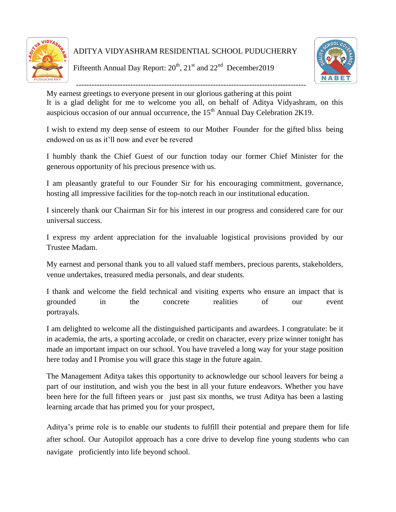

ADITYA VIDYASHRAM RESIDENTIAL SCHOOL PUDUCHERRY

Fifteenth Annual Day Report:  $20^{th}$ ,  $21^{st}$  and  $22^{nd}$  December 2019



----------------------------------------------------------------------------------------- My earnest greetings to everyone present in our glorious gathering at this point

It is a glad delight for me to welcome you all, on behalf of Aditya Vidyashram, on this auspicious occasion of our annual occurrence, the  $15<sup>th</sup>$  Annual Day Celebration 2K19.

I wish to extend my deep sense of esteem to our Mother Founder for the gifted bliss being endowed on us as it"ll now and ever be revered

I humbly thank the Chief Guest of our function today our former Chief Minister for the generous opportunity of his precious presence with us.

I am pleasantly grateful to our Founder Sir for his encouraging commitment, governance, hosting all impressive facilities for the top-notch reach in our institutional education.

I sincerely thank our Chairman Sir for his interest in our progress and considered care for our universal success.

I express my ardent appreciation for the invaluable logistical provisions provided by our Trustee Madam.

My earnest and personal thank you to all valued staff members, precious parents, stakeholders, venue undertakes, treasured media personals, and dear students.

I thank and welcome the field technical and visiting experts who ensure an impact that is grounded in the concrete realities of our event portrayals.

I am delighted to welcome all the distinguished participants and awardees. I congratulate: be it in academia, the arts, a sporting accolade, or credit on character, every prize winner tonight has made an important impact on our school. You have traveled a long way for your stage position here today and I Promise you will grace this stage in the future again.

The Management Aditya takes this opportunity to acknowledge our school leavers for being a part of our institution, and wish you the best in all your future endeavors. Whether you have been here for the full fifteen years or just past six months, we trust Aditya has been a lasting learning arcade that has primed you for your prospect,

Aditya"s prime role is to enable our students to fulfill their potential and prepare them for life after school. Our Autopilot approach has a core drive to develop fine young students who can navigate proficiently into life beyond school.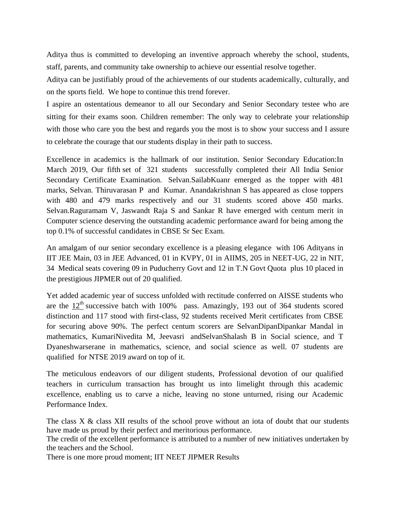Aditya thus is committed to developing an inventive approach whereby the school, students, staff, parents, and community take ownership to achieve our essential resolve together.

Aditya can be justifiably proud of the achievements of our students academically, culturally, and on the sports field. We hope to continue this trend forever.

I aspire an ostentatious demeanor to all our Secondary and Senior Secondary testee who are sitting for their exams soon. Children remember: The only way to celebrate your relationship with those who care you the best and regards you the most is to show your success and I assure to celebrate the courage that our students display in their path to success.

Excellence in academics is the hallmark of our institution. Senior Secondary Education:In March 2019, Our fifth set of 321 students successfully completed their All India Senior Secondary Certificate Examination. Selvan.SailabKuanr emerged as the topper with 481 marks, Selvan. Thiruvarasan P and Kumar. Anandakrishnan S has appeared as close toppers with 480 and 479 marks respectively and our 31 students scored above 450 marks. Selvan.Raguramam V, Jaswandt Raja S and Sankar R have emerged with centum merit in Computer science deserving the outstanding academic performance award for being among the top 0.1% of successful candidates in CBSE Sr Sec Exam.

An amalgam of our senior secondary excellence is a pleasing elegance with 106 Adityans in IIT JEE Main, 03 in JEE Advanced, 01 in KVPY, 01 in AIIMS, 205 in NEET-UG, 22 in NIT, 34 Medical seats covering 09 in Puducherry Govt and 12 in T.N Govt Quota plus 10 placed in the prestigious JIPMER out of 20 qualified.

Yet added academic year of success unfolded with rectitude conferred on AISSE students who are the  $12<sup>th</sup>$  successive batch with 100% pass. Amazingly, 193 out of 364 students scored distinction and 117 stood with first-class, 92 students received Merit certificates from CBSE for securing above 90%. The perfect centum scorers are SelvanDipanDipankar Mandal in mathematics, KumariNivedita M, Jeevasri andSelvanShalash B in Social science, and T Dyaneshwarserane in mathematics, science, and social science as well. 07 students are qualified for NTSE 2019 award on top of it.

The meticulous endeavors of our diligent students, Professional devotion of our qualified teachers in curriculum transaction has brought us into limelight through this academic excellence, enabling us to carve a niche, leaving no stone unturned, rising our Academic Performance Index.

The class X & class XII results of the school prove without an iota of doubt that our students have made us proud by their perfect and meritorious performance.

The credit of the excellent performance is attributed to a number of new initiatives undertaken by the teachers and the School.

There is one more proud moment; IIT NEET JIPMER Results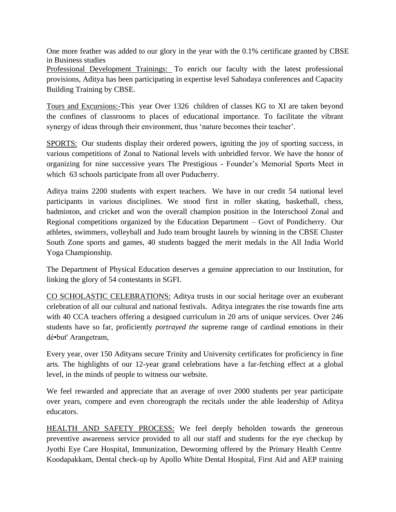One more feather was added to our glory in the year with the 0.1% certificate granted by CBSE in Business studies

Professional Development Trainings: To enrich our faculty with the latest professional provisions, Aditya has been participating in expertise level Sahodaya conferences and Capacity Building Training by CBSE.

Tours and Excursions:-This year Over 1326 children of classes KG to XI are taken beyond the confines of classrooms to places of educational importance. To facilitate the vibrant synergy of ideas through their environment, thus 'nature becomes their teacher'.

SPORTS: Our students display their ordered powers, igniting the joy of sporting success, in various competitions of Zonal to National levels with unbridled fervor. We have the honor of organizing for nine successive years The Prestigious - Founder"s Memorial Sports Meet in which 63 schools participate from all over Puducherry.

Aditya trains 2200 students with expert teachers. We have in our credit 54 national level participants in various disciplines. We stood first in roller skating, basketball, chess, badminton, and cricket and won the overall champion position in the Interschool Zonal and Regional competitions organized by the Education Department – Govt of Pondicherry. Our athletes, swimmers, volleyball and Judo team brought laurels by winning in the CBSE Cluster South Zone sports and games, 40 students bagged the merit medals in the All India World Yoga Championship.

The Department of Physical Education deserves a genuine appreciation to our Institution, for linking the glory of 54 contestants in SGFI.

CO SCHOLASTIC CELEBRATIONS: Aditya trusts in our social heritage over an exuberant celebration of all our cultural and national festivals. Aditya integrates the rise towards fine arts with 40 CCA teachers offering a designed curriculum in 20 arts of unique services. Over 246 students have so far, proficiently *portrayed the* supreme range of cardinal emotions in their dé•but' Arangetram,

Every year, over 150 Adityans secure Trinity and University certificates for proficiency in fine arts. The highlights of our 12-year grand celebrations have a far-fetching effect at a global level, in the minds of people to witness our website.

We feel rewarded and appreciate that an average of over 2000 students per year participate over years, compere and even choreograph the recitals under the able leadership of Aditya educators.

HEALTH AND SAFETY PROCESS: We feel deeply beholden towards the generous preventive awareness service provided to all our staff and students for the eye checkup by Jyothi Eye Care Hospital, Immunization, Deworming offered by the Primary Health Centre Koodapakkam, Dental check-up by Apollo White Dental Hospital, First Aid and AEP training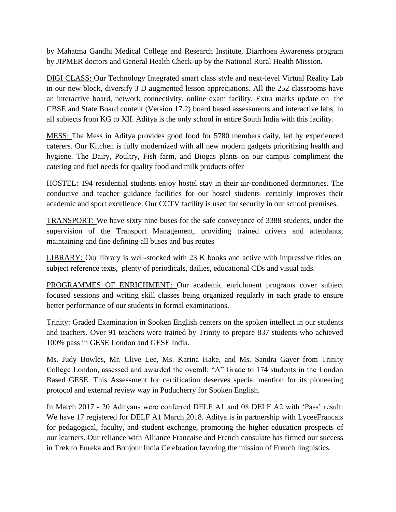by Mahatma Gandhi Medical College and Research Institute, Diarrhoea Awareness program by JIPMER doctors and General Health Check-up by the National Rural Health Mission.

DIGI CLASS: Our Technology Integrated smart class style and next-level Virtual Reality Lab in our new block, diversify 3 D augmented lesson appreciations. All the 252 classrooms have an interactive board, network connectivity, online exam facility, Extra marks update on the CBSE and State Board content (Version 17.2) board based assessments and interactive labs, in all subjects from KG to XII. Aditya is the only school in entire South India with this facility.

MESS: The Mess in Aditya provides good food for 5780 members daily, led by experienced caterers. Our Kitchen is fully modernized with all new modern gadgets prioritizing health and hygiene. The Dairy, Poultry, Fish farm, and Biogas plants on our campus compliment the catering and fuel needs for quality food and milk products offer

HOSTEL: 194 residential students enjoy hostel stay in their air-conditioned dormitories. The conducive and teacher guidance facilities for our hostel students certainly improves their academic and sport excellence. Our CCTV facility is used for security in our school premises.

TRANSPORT: We have sixty nine buses for the safe conveyance of 3388 students, under the supervision of the Transport Management, providing trained drivers and attendants, maintaining and fine defining all buses and bus routes

LIBRARY: Our library is well-stocked with 23 K books and active with impressive titles on subject reference texts, plenty of periodicals, dailies, educational CDs and visual aids.

PROGRAMMES OF ENRICHMENT: Our academic enrichment programs cover subject focused sessions and writing skill classes being organized regularly in each grade to ensure better performance of our students in formal examinations.

Trinity: Graded Examination in Spoken English centers on the spoken intellect in our students and teachers. Over 91 teachers were trained by Trinity to prepare 837 students who achieved 100% pass in GESE London and GESE India.

Ms. Judy Bowles, Mr. Clive Lee, Ms. Karina Hake, and Ms. Sandra Gayer from Trinity College London, assessed and awarded the overall: "A" Grade to 174 students in the London Based GESE. This Assessment for certification deserves special mention for its pioneering protocol and external review way in Puducherry for Spoken English.

In March 2017 - 20 Adityans were conferred DELF A1 and 08 DELF A2 with 'Pass' result: We have 17 registered for DELF A1 March 2018. Aditya is in partnership with LyceeFrancais for pedagogical, faculty, and student exchange, promoting the higher education prospects of our learners. Our reliance with Alliance Francaise and French consulate has firmed our success in Trek to Eureka and Bonjour India Celebration favoring the mission of French linguistics.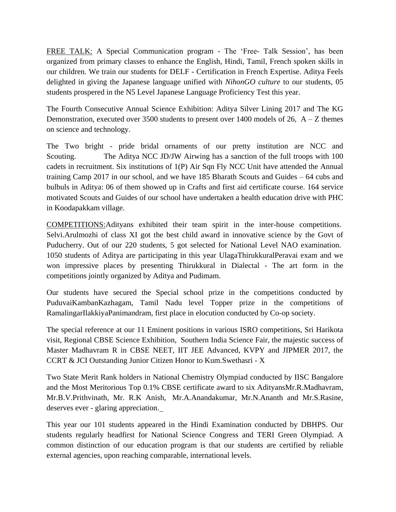FREE TALK: A Special Communication program - The 'Free- Talk Session', has been organized from primary classes to enhance the English, Hindi, Tamil, French spoken skills in our children. We train our students for DELF - Certification in French Expertise. Aditya Feels delighted in giving the Japanese language unified with *NihonGO culture* to our students, 05 students prospered in the N5 Level Japanese Language Proficiency Test this year.

The Fourth Consecutive Annual Science Exhibition: Aditya Silver Lining 2017 and The KG Demonstration, executed over 3500 students to present over 1400 models of 26,  $A - Z$  themes on science and technology.

The Two bright - pride bridal ornaments of our pretty institution are NCC and Scouting. The Aditya NCC JD/JW Airwing has a sanction of the full troops with 100 cadets in recruitment. Six institutions of 1(P) Air Sqn Fly NCC Unit have attended the Annual training Camp 2017 in our school, and we have 185 Bharath Scouts and Guides – 64 cubs and bulbuls in Aditya: 06 of them showed up in Crafts and first aid certificate course. 164 service motivated Scouts and Guides of our school have undertaken a health education drive with PHC in Koodapakkam village.

COMPETITIONS:Adityans exhibited their team spirit in the inter-house competitions. Selvi.Arulmozhi of class XI got the best child award in innovative science by the Govt of Puducherry. Out of our 220 students, 5 got selected for National Level NAO examination. 1050 students of Aditya are participating in this year UlagaThirukkuralPeravai exam and we won impressive places by presenting Thirukkural in Dialectal - The art form in the competitions jointly organized by Aditya and Pudimam.

Our students have secured the Special school prize in the competitions conducted by PuduvaiKambanKazhagam, Tamil Nadu level Topper prize in the competitions of RamalingarIlakkiyaPanimandram, first place in elocution conducted by Co-op society.

The special reference at our 11 Eminent positions in various ISRO competitions, Sri Harikota visit, Regional CBSE Science Exhibition, Southern India Science Fair, the majestic success of Master Madhavram R in CBSE NEET, IIT JEE Advanced, KVPY and JIPMER 2017, the CCRT & JCI Outstanding Junior Citizen Honor to Kum.Swethasri - X

Two State Merit Rank holders in National Chemistry Olympiad conducted by IISC Bangalore and the Most Meritorious Top 0.1% CBSE certificate award to six AdityansMr.R.Madhavram, Mr.B.V.Prithvinath, Mr. R.K Anish, Mr.A.Anandakumar, Mr.N.Ananth and Mr.S.Rasine, deserves ever - glaring appreciation.

This year our 101 students appeared in the Hindi Examination conducted by DBHPS. Our students regularly headfirst for National Science Congress and TERI Green Olympiad. A common distinction of our education program is that our students are certified by reliable external agencies, upon reaching comparable, international levels.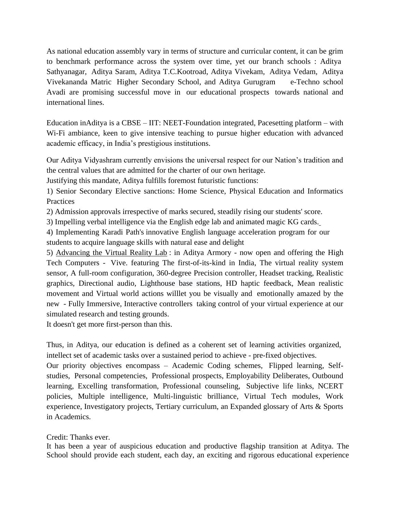As national education assembly vary in terms of structure and curricular content, it can be grim to benchmark performance across the system over time, yet our branch schools : Aditya Sathyanagar, Aditya Saram, Aditya T.C.Kootroad, Aditya Vivekam, Aditya Vedam, Aditya Vivekananda Matric Higher Secondary School, and Aditya Gurugram e-Techno school Avadi are promising successful move in our educational prospects towards national and international lines.

Education inAditya is a CBSE – IIT: NEET-Foundation integrated, Pacesetting platform – with Wi-Fi ambiance, keen to give intensive teaching to pursue higher education with advanced academic efficacy, in India"s prestigious institutions.

Our Aditya Vidyashram currently envisions the universal respect for our Nation"s tradition and the central values that are admitted for the charter of our own heritage.

Justifying this mandate, Aditya fulfills foremost futuristic functions:

1) Senior Secondary Elective sanctions: Home Science, Physical Education and Informatics Practices

2) Admission approvals irrespective of marks secured, steadily rising our students' score.

3) Impelling verbal intelligence via the English edge lab and animated magic KG cards.

4) Implementing Karadi Path's innovative English language acceleration program for our students to acquire language skills with natural ease and delight

5) Advancing the Virtual Reality Lab : in Aditya Armory - now open and offering the High Tech Computers - Vive. featuring The first-of-its-kind in India, The virtual reality system sensor, A full-room configuration, 360-degree Precision controller, Headset tracking, Realistic graphics, Directional audio, Lighthouse base stations, HD haptic feedback, Mean realistic movement and Virtual world actions willlet you be visually and emotionally amazed by the new - Fully Immersive, Interactive controllers taking control of your virtual experience at our simulated research and testing grounds.

It doesn't get more first-person than this.

Thus, in Aditya, our education is defined as a coherent set of learning activities organized, intellect set of academic tasks over a sustained period to achieve - pre-fixed objectives. Our priority objectives encompass – Academic Coding schemes, Flipped learning, Selfstudies, Personal competencies, Professional prospects, Employability Deliberates, Outbound learning, Excelling transformation, Professional counseling, Subjective life links, NCERT policies, Multiple intelligence, Multi-linguistic brilliance, Virtual Tech modules, Work experience, Investigatory projects, Tertiary curriculum, an Expanded glossary of Arts & Sports in Academics.

## Credit: Thanks ever.

It has been a year of auspicious education and productive flagship transition at Aditya. The School should provide each student, each day, an exciting and rigorous educational experience